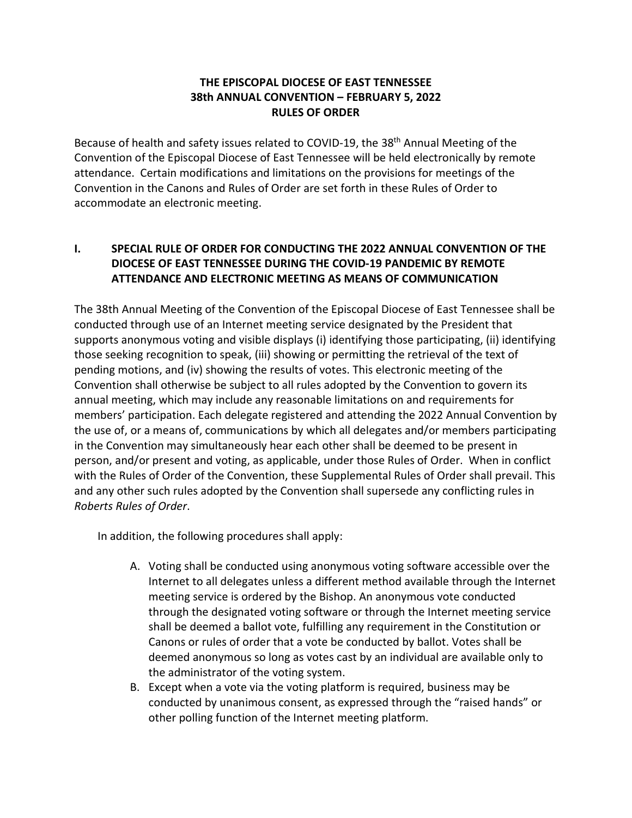# **THE EPISCOPAL DIOCESE OF EAST TENNESSEE 38th ANNUAL CONVENTION – FEBRUARY 5, 2022 RULES OF ORDER**

Because of health and safety issues related to COVID-19, the 38th Annual Meeting of the Convention of the Episcopal Diocese of East Tennessee will be held electronically by remote attendance. Certain modifications and limitations on the provisions for meetings of the Convention in the Canons and Rules of Order are set forth in these Rules of Order to accommodate an electronic meeting.

# **I. SPECIAL RULE OF ORDER FOR CONDUCTING THE 2022 ANNUAL CONVENTION OF THE DIOCESE OF EAST TENNESSEE DURING THE COVID-19 PANDEMIC BY REMOTE ATTENDANCE AND ELECTRONIC MEETING AS MEANS OF COMMUNICATION**

The 38th Annual Meeting of the Convention of the Episcopal Diocese of East Tennessee shall be conducted through use of an Internet meeting service designated by the President that supports anonymous voting and visible displays (i) identifying those participating, (ii) identifying those seeking recognition to speak, (iii) showing or permitting the retrieval of the text of pending motions, and (iv) showing the results of votes. This electronic meeting of the Convention shall otherwise be subject to all rules adopted by the Convention to govern its annual meeting, which may include any reasonable limitations on and requirements for members' participation. Each delegate registered and attending the 2022 Annual Convention by the use of, or a means of, communications by which all delegates and/or members participating in the Convention may simultaneously hear each other shall be deemed to be present in person, and/or present and voting, as applicable, under those Rules of Order. When in conflict with the Rules of Order of the Convention, these Supplemental Rules of Order shall prevail. This and any other such rules adopted by the Convention shall supersede any conflicting rules in *Roberts Rules of Order*.

In addition, the following procedures shall apply:

- A. Voting shall be conducted using anonymous voting software accessible over the Internet to all delegates unless a different method available through the Internet meeting service is ordered by the Bishop. An anonymous vote conducted through the designated voting software or through the Internet meeting service shall be deemed a ballot vote, fulfilling any requirement in the Constitution or Canons or rules of order that a vote be conducted by ballot. Votes shall be deemed anonymous so long as votes cast by an individual are available only to the administrator of the voting system.
- B. Except when a vote via the voting platform is required, business may be conducted by unanimous consent, as expressed through the "raised hands" or other polling function of the Internet meeting platform.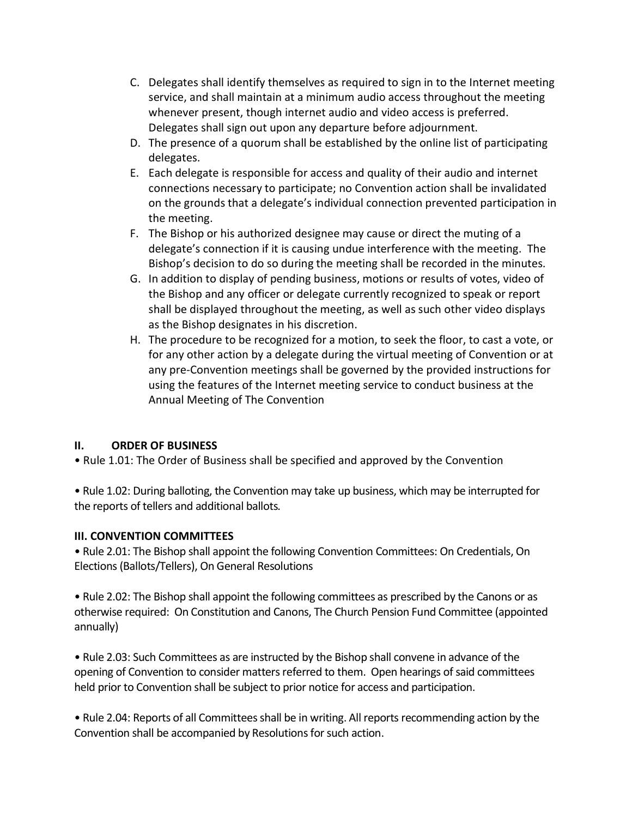- C. Delegates shall identify themselves as required to sign in to the Internet meeting service, and shall maintain at a minimum audio access throughout the meeting whenever present, though internet audio and video access is preferred. Delegates shall sign out upon any departure before adjournment.
- D. The presence of a quorum shall be established by the online list of participating delegates.
- E. Each delegate is responsible for access and quality of their audio and internet connections necessary to participate; no Convention action shall be invalidated on the grounds that a delegate's individual connection prevented participation in the meeting.
- F. The Bishop or his authorized designee may cause or direct the muting of a delegate's connection if it is causing undue interference with the meeting. The Bishop's decision to do so during the meeting shall be recorded in the minutes.
- G. In addition to display of pending business, motions or results of votes, video of the Bishop and any officer or delegate currently recognized to speak or report shall be displayed throughout the meeting, as well as such other video displays as the Bishop designates in his discretion.
- H. The procedure to be recognized for a motion, to seek the floor, to cast a vote, or for any other action by a delegate during the virtual meeting of Convention or at any pre-Convention meetings shall be governed by the provided instructions for using the features of the Internet meeting service to conduct business at the Annual Meeting of The Convention

# **II. ORDER OF BUSINESS**

• Rule 1.01: The Order of Business shall be specified and approved by the Convention

• Rule 1.02: During balloting, the Convention may take up business, which may be interrupted for the reports of tellers and additional ballots*.*

# **III. CONVENTION COMMITTEES**

• Rule 2.01: The Bishop shall appoint the following Convention Committees: On Credentials, On Elections (Ballots/Tellers), On General Resolutions

• Rule 2.02: The Bishop shall appoint the following committees as prescribed by the Canons or as otherwise required: On Constitution and Canons, The Church Pension Fund Committee (appointed annually)

• Rule 2.03: Such Committees as are instructed by the Bishop shall convene in advance of the opening of Convention to consider matters referred to them. Open hearings of said committees held prior to Convention shall be subject to prior notice for access and participation.

• Rule 2.04: Reports of all Committees shall be in writing. All reports recommending action by the Convention shall be accompanied by Resolutions for such action.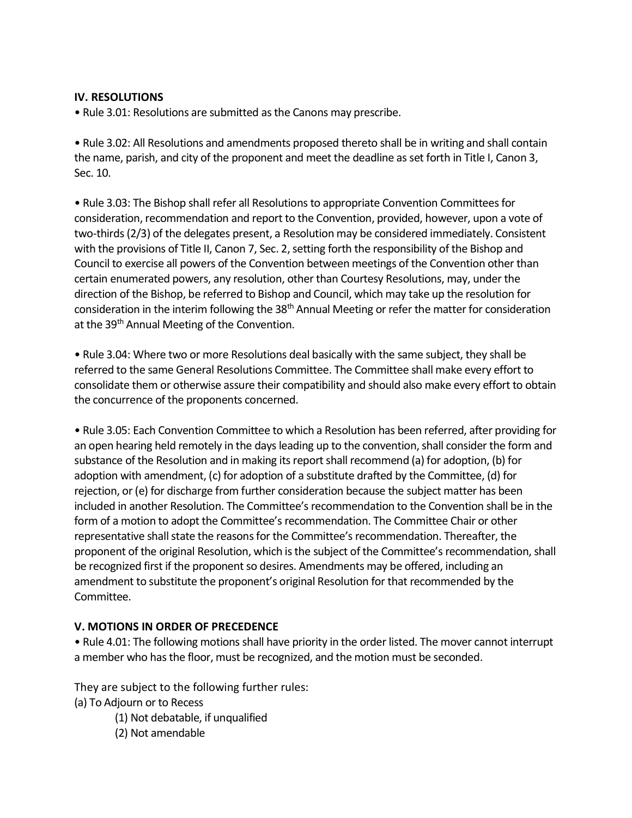## **IV. RESOLUTIONS**

• Rule 3.01: Resolutions are submitted as the Canons may prescribe.

• Rule 3.02: All Resolutions and amendments proposed thereto shall be in writing and shall contain the name, parish, and city of the proponent and meet the deadline as set forth in Title I, Canon 3, Sec. 10.

• Rule 3.03: The Bishop shall refer all Resolutions to appropriate Convention Committees for consideration, recommendation and report to the Convention, provided, however, upon a vote of two-thirds (2/3) of the delegates present, a Resolution may be considered immediately. Consistent with the provisions of Title II, Canon 7, Sec. 2, setting forth the responsibility of the Bishop and Council to exercise all powers of the Convention between meetings of the Convention other than certain enumerated powers, any resolution, other than Courtesy Resolutions, may, under the direction of the Bishop, be referred to Bishop and Council, which may take up the resolution for consideration in the interim following the 38<sup>th</sup> Annual Meeting or refer the matter for consideration at the 39<sup>th</sup> Annual Meeting of the Convention.

• Rule 3.04: Where two or more Resolutions deal basically with the same subject, they shall be referred to the same General Resolutions Committee. The Committee shall make every effort to consolidate them or otherwise assure their compatibility and should also make every effort to obtain the concurrence of the proponents concerned.

• Rule 3.05: Each Convention Committee to which a Resolution has been referred, after providing for an open hearing held remotely in the days leading up to the convention, shall consider the form and substance of the Resolution and in making its report shall recommend (a) for adoption, (b) for adoption with amendment, (c) for adoption of a substitute drafted by the Committee, (d) for rejection, or (e) for discharge from further consideration because the subject matter has been included in another Resolution. The Committee's recommendation to the Convention shall be in the form of a motion to adopt the Committee's recommendation. The Committee Chair or other representative shall state the reasons for the Committee's recommendation. Thereafter, the proponent of the original Resolution, which is the subject of the Committee's recommendation, shall be recognized first if the proponent so desires. Amendments may be offered, including an amendment to substitute the proponent's original Resolution for that recommended by the Committee.

## **V. MOTIONS IN ORDER OF PRECEDENCE**

• Rule 4.01: The following motions shall have priority in the order listed. The mover cannot interrupt a member who has the floor, must be recognized, and the motion must be seconded.

They are subject to the following further rules: (a) To Adjourn or to Recess

(1) Not debatable, if unqualified

(2) Not amendable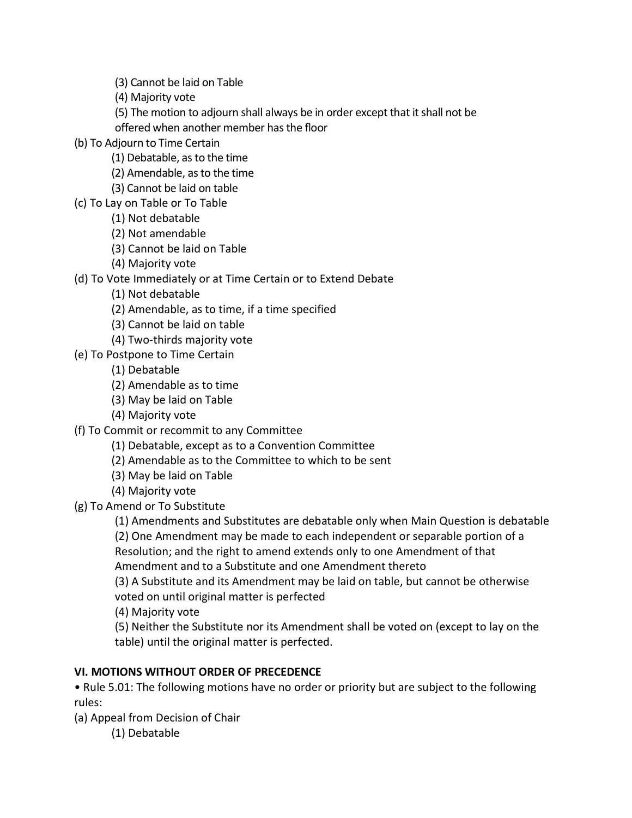(3) Cannot be laid on Table

(4) Majority vote

(5) The motion to adjourn shall always be in order except that it shall not be offered when another member has the floor

(b) To Adjourn to Time Certain

(1) Debatable, as to the time

- (2) Amendable, as to the time
- (3) Cannot be laid on table
- (c) To Lay on Table or To Table
	- (1) Not debatable
	- (2) Not amendable
	- (3) Cannot be laid on Table
	- (4) Majority vote

(d) To Vote Immediately or at Time Certain or to Extend Debate

- (1) Not debatable
- (2) Amendable, as to time, if a time specified
- (3) Cannot be laid on table
- (4) Two-thirds majority vote
- (e) To Postpone to Time Certain
	- (1) Debatable
	- (2) Amendable as to time
	- (3) May be laid on Table
	- (4) Majority vote
- (f) To Commit or recommit to any Committee
	- (1) Debatable, except as to a Convention Committee
	- (2) Amendable as to the Committee to which to be sent
	- (3) May be laid on Table
	- (4) Majority vote
- (g) To Amend or To Substitute

(1) Amendments and Substitutes are debatable only when Main Question is debatable (2) One Amendment may be made to each independent or separable portion of a

Resolution; and the right to amend extends only to one Amendment of that Amendment and to a Substitute and one Amendment thereto

(3) A Substitute and its Amendment may be laid on table, but cannot be otherwise voted on until original matter is perfected

(4) Majority vote

(5) Neither the Substitute nor its Amendment shall be voted on (except to lay on the table) until the original matter is perfected.

# **VI. MOTIONS WITHOUT ORDER OF PRECEDENCE**

• Rule 5.01: The following motions have no order or priority but are subject to the following rules:

(a) Appeal from Decision of Chair

(1) Debatable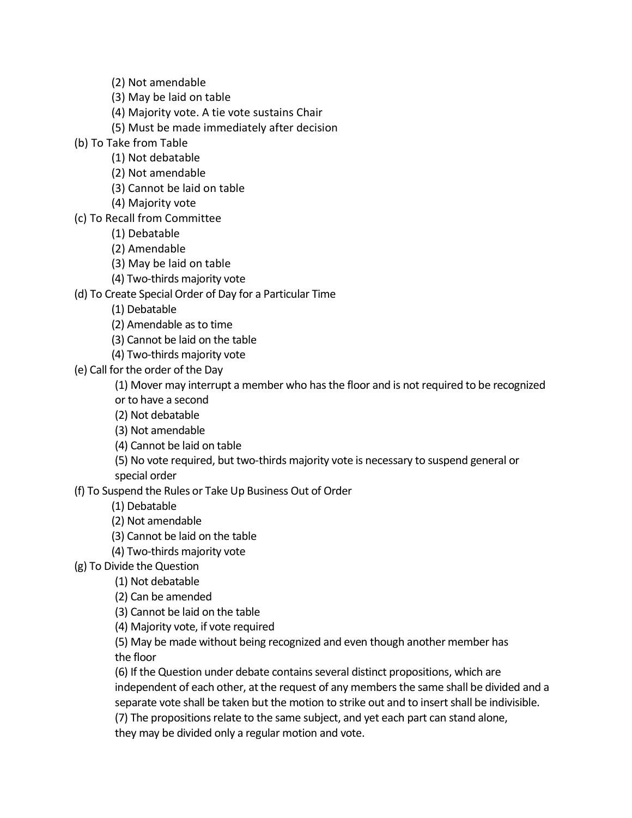(2) Not amendable

(3) May be laid on table

(4) Majority vote. A tie vote sustains Chair

(5) Must be made immediately after decision

(b) To Take from Table

(1) Not debatable

(2) Not amendable

(3) Cannot be laid on table

(4) Majority vote

(c) To Recall from Committee

(1) Debatable

(2) Amendable

(3) May be laid on table

(4) Two-thirds majority vote

(d) To Create Special Order of Day for a Particular Time

(1) Debatable

(2) Amendable as to time

(3) Cannot be laid on the table

(4) Two-thirds majority vote

(e) Call for the order of the Day

(1) Mover may interrupt a member who has the floor and is not required to be recognized or to have a second

(2) Not debatable

(3) Not amendable

(4) Cannot be laid on table

(5) No vote required, but two-thirds majority vote is necessary to suspend general or special order

(f) To Suspend the Rules or Take Up Business Out of Order

(1) Debatable

(2) Not amendable

(3) Cannot be laid on the table

(4) Two-thirds majority vote

(g) To Divide the Question

(1) Not debatable

(2) Can be amended

(3) Cannot be laid on the table

(4) Majority vote, if vote required

(5) May be made without being recognized and even though another member has the floor

(6) If the Question under debate contains several distinct propositions, which are independent of each other, at the request of any members the same shall be divided and a separate vote shall be taken but the motion to strike out and to insert shall be indivisible.

(7) The propositions relate to the same subject, and yet each part can stand alone,

they may be divided only a regular motion and vote.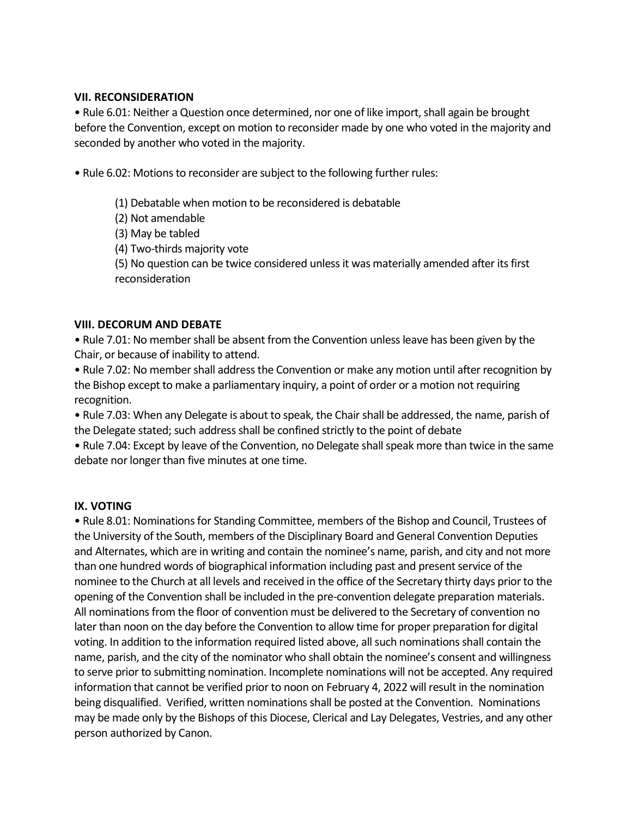#### **VII. RECONSIDERATION**

• Rule 6.01: Neither a Question once determined, nor one of like import, shall again be brought before the Convention, except on motion to reconsider made by one who voted in the majority and seconded by another who voted in the majority.

• Rule 6.02: Motions to reconsider are subject to the following further rules:

(1) Debatable when motion to be reconsidered is debatable

(2) Not amendable

(3) May be tabled

(4) Two-thirds majority vote

(5) No question can be twice considered unless it was materially amended after its first reconsideration

## **VIII. DECORUM AND DEBATE**

• Rule 7.01: No member shall be absent from the Convention unless leave has been given by the Chair, or because of inability to attend.

• Rule 7.02: No member shall address the Convention or make any motion until after recognition by the Bishop except to make a parliamentary inquiry, a point of order or a motion not requiring recognition.

• Rule 7.03: When any Delegate is about to speak, the Chair shall be addressed, the name, parish of the Delegate stated; such address shall be confined strictly to the point of debate

• Rule 7.04: Except by leave of the Convention, no Delegate shall speak more than twice in the same debate nor longer than five minutes at one time.

## **IX. VOTING**

• Rule 8.01: Nominations for Standing Committee, members of the Bishop and Council, Trustees of the University of the South, members of the Disciplinary Board and General Convention Deputies and Alternates, which are in writing and contain the nominee's name, parish, and city and not more than one hundred words of biographical information including past and present service of the nominee to the Church at all levels and received in the office of the Secretary thirty days prior to the opening of the Convention shall be included in the pre-convention delegate preparation materials. All nominations from the floor of convention must be delivered to the Secretary of convention no later than noon on the day before the Convention to allow time for proper preparation for digital voting. In addition to the information required listed above, all such nominations shall contain the name, parish, and the city of the nominator who shall obtain the nominee's consent and willingness to serve prior to submitting nomination. Incomplete nominations will not be accepted. Any required information that cannot be verified prior to noon on February 4, 2022 will result in the nomination being disqualified. Verified, written nominations shall be posted at the Convention. Nominations may be made only by the Bishops of this Diocese, Clerical and Lay Delegates, Vestries, and any other person authorized by Canon.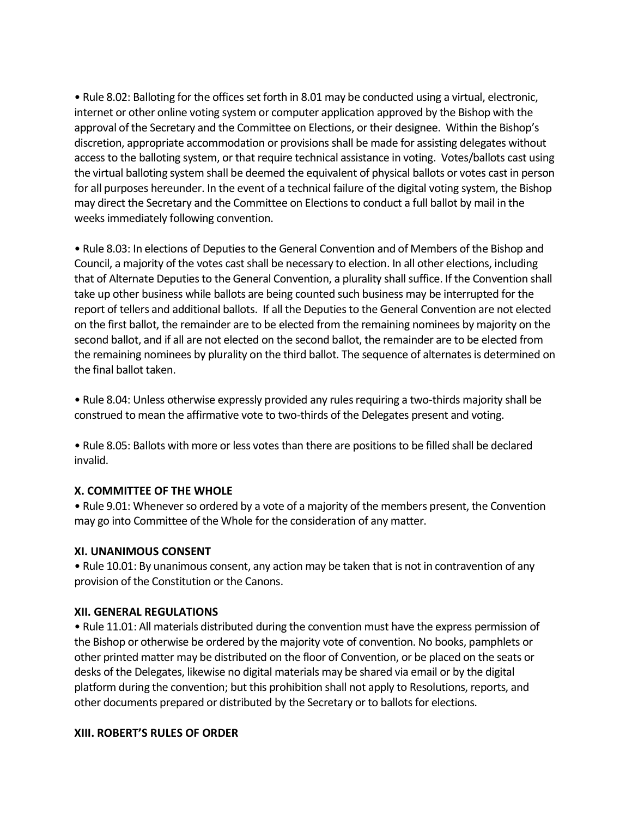• Rule 8.02: Balloting for the offices set forth in 8.01 may be conducted using a virtual, electronic, internet or other online voting system or computer application approved by the Bishop with the approval of the Secretary and the Committee on Elections, or their designee. Within the Bishop's discretion, appropriate accommodation or provisions shall be made for assisting delegates without access to the balloting system, or that require technical assistance in voting. Votes/ballots cast using the virtual balloting system shall be deemed the equivalent of physical ballots or votes cast in person for all purposes hereunder. In the event of a technical failure of the digital voting system, the Bishop may direct the Secretary and the Committee on Elections to conduct a full ballot by mail in the weeks immediately following convention.

• Rule 8.03: In elections of Deputies to the General Convention and of Members of the Bishop and Council, a majority of the votes cast shall be necessary to election. In all other elections, including that of Alternate Deputies to the General Convention, a plurality shall suffice. If the Convention shall take up other business while ballots are being counted such business may be interrupted for the report of tellers and additional ballots. If all the Deputies to the General Convention are not elected on the first ballot, the remainder are to be elected from the remaining nominees by majority on the second ballot, and if all are not elected on the second ballot, the remainder are to be elected from the remaining nominees by plurality on the third ballot. The sequence of alternates is determined on the final ballot taken.

• Rule 8.04: Unless otherwise expressly provided any rules requiring a two-thirds majority shall be construed to mean the affirmative vote to two-thirds of the Delegates present and voting.

• Rule 8.05: Ballots with more or less votes than there are positions to be filled shall be declared invalid.

#### **X. COMMITTEE OF THE WHOLE**

• Rule 9.01: Whenever so ordered by a vote of a majority of the members present, the Convention may go into Committee of the Whole for the consideration of any matter.

#### **XI. UNANIMOUS CONSENT**

• Rule 10.01: By unanimous consent, any action may be taken that is not in contravention of any provision of the Constitution or the Canons.

#### **XII. GENERAL REGULATIONS**

• Rule 11.01: All materials distributed during the convention must have the express permission of the Bishop or otherwise be ordered by the majority vote of convention. No books, pamphlets or other printed matter may be distributed on the floor of Convention, or be placed on the seats or desks of the Delegates, likewise no digital materials may be shared via email or by the digital platform during the convention; but this prohibition shall not apply to Resolutions, reports, and other documents prepared or distributed by the Secretary or to ballots for elections.

## **XIII. ROBERT'S RULES OF ORDER**